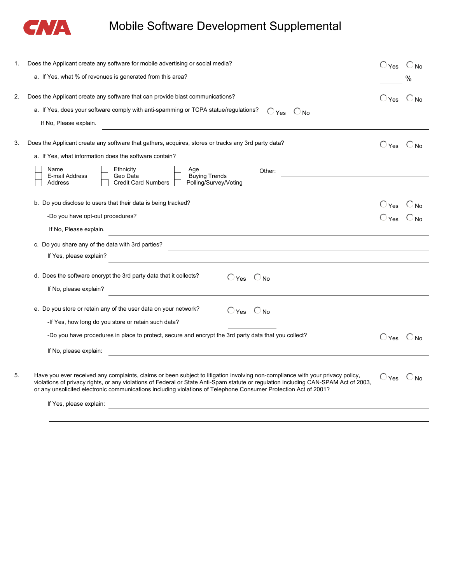

## Mobile Software Development Supplemental

| 1. | Does the Applicant create any software for mobile advertising or social media?                                                                                                                                                                                                                                                                                                                                      | $O_{Yes}$ $O_{No}$           |   |
|----|---------------------------------------------------------------------------------------------------------------------------------------------------------------------------------------------------------------------------------------------------------------------------------------------------------------------------------------------------------------------------------------------------------------------|------------------------------|---|
|    | a. If Yes, what % of revenues is generated from this area?                                                                                                                                                                                                                                                                                                                                                          |                              | % |
| 2. | Does the Applicant create any software that can provide blast communications?                                                                                                                                                                                                                                                                                                                                       | $O_{Yes}$ $O_{No}$           |   |
|    | a. If Yes, does your software comply with anti-spamming or TCPA statue/regulations?<br>$O_{Yes}$ $O_{No}$                                                                                                                                                                                                                                                                                                           |                              |   |
|    | If No, Please explain.                                                                                                                                                                                                                                                                                                                                                                                              |                              |   |
| 3. | Does the Applicant create any software that gathers, acquires, stores or tracks any 3rd party data?                                                                                                                                                                                                                                                                                                                 | $\bigcirc$ Yes $\bigcirc$ No |   |
|    | a. If Yes, what information does the software contain?                                                                                                                                                                                                                                                                                                                                                              |                              |   |
|    | Name<br>Ethnicity<br>Age<br>Other:<br><b>Buying Trends</b><br>E-mail Address<br>Geo Data<br>Polling/Survey/Voting<br><b>Credit Card Numbers</b><br>Address                                                                                                                                                                                                                                                          |                              |   |
|    | b. Do you disclose to users that their data is being tracked?                                                                                                                                                                                                                                                                                                                                                       | $O_{Yes}$ $O_{No}$           |   |
|    | -Do you have opt-out procedures?                                                                                                                                                                                                                                                                                                                                                                                    | $O_{Yes}$ $O_{No}$           |   |
|    | If No, Please explain.<br><u> 1989 - Johann Stein, marwolaethau a bhann an t-Amhainn an t-Amhainn an t-Amhainn an t-Amhainn an t-Amhainn a</u>                                                                                                                                                                                                                                                                      |                              |   |
|    | c. Do you share any of the data with 3rd parties?                                                                                                                                                                                                                                                                                                                                                                   |                              |   |
|    | If Yes, please explain?                                                                                                                                                                                                                                                                                                                                                                                             |                              |   |
|    | d. Does the software encrypt the 3rd party data that it collects?<br>$O_{Yes}$ $O_{No}$<br>If No, please explain?                                                                                                                                                                                                                                                                                                   |                              |   |
|    | e. Do you store or retain any of the user data on your network?<br>$O_{Yes}$ $O_{No}$<br>-If Yes, how long do you store or retain such data?                                                                                                                                                                                                                                                                        |                              |   |
|    | -Do you have procedures in place to protect, secure and encrypt the 3rd party data that you collect?                                                                                                                                                                                                                                                                                                                | $O_{Yes}$ $O_{No}$           |   |
|    | If No, please explain:<br><u> 1980 - John Stein, Amerikaansk politiker (* 1900)</u>                                                                                                                                                                                                                                                                                                                                 |                              |   |
| 5. | Have you ever received any complaints, claims or been subject to litigation involving non-compliance with your privacy policy,<br>violations of privacy rights, or any violations of Federal or State Anti-Spam statute or regulation including CAN-SPAM Act of 2003,<br>or any unsolicited electronic communications including violations of Telephone Consumer Protection Act of 2001?<br>If Yes, please explain: | $O$ Yes $O$ No               |   |